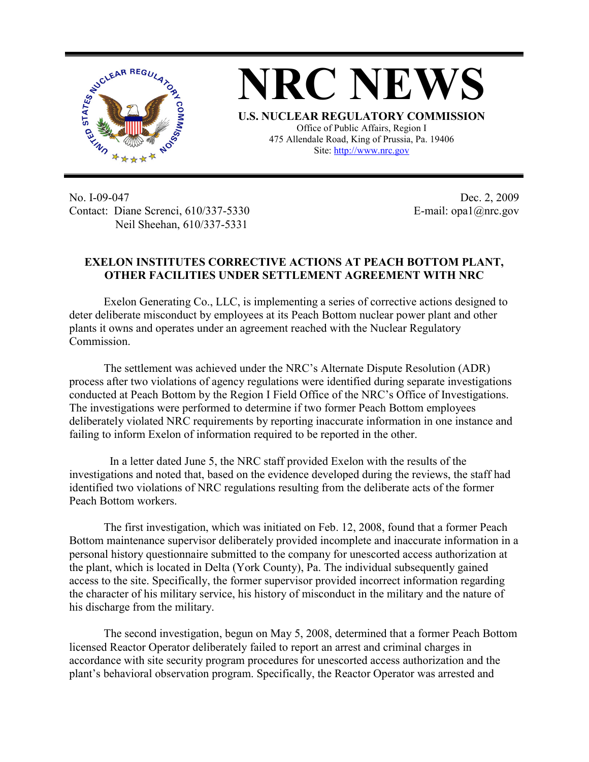

**NRC NEWS U.S. NUCLEAR REGULATORY COMMISSION** Office of Public Affairs, Region I 475 Allendale Road, King of Prussia, Pa. 19406

Site: http://www.nrc.gov

No. I-09-047 Contact: Diane Screnci, 610/337-5330 Neil Sheehan, 610/337-5331

Dec. 2, 2009 E-mail: opa1@nrc.gov

## **EXELON INSTITUTES CORRECTIVE ACTIONS AT PEACH BOTTOM PLANT, OTHER FACILITIES UNDER SETTLEMENT AGREEMENT WITH NRC**

Exelon Generating Co., LLC, is implementing a series of corrective actions designed to deter deliberate misconduct by employees at its Peach Bottom nuclear power plant and other plants it owns and operates under an agreement reached with the Nuclear Regulatory Commission.

The settlement was achieved under the NRC's Alternate Dispute Resolution (ADR) process after two violations of agency regulations were identified during separate investigations conducted at Peach Bottom by the Region I Field Office of the NRC's Office of Investigations. The investigations were performed to determine if two former Peach Bottom employees deliberately violated NRC requirements by reporting inaccurate information in one instance and failing to inform Exelon of information required to be reported in the other.

 In a letter dated June 5, the NRC staff provided Exelon with the results of the investigations and noted that, based on the evidence developed during the reviews, the staff had identified two violations of NRC regulations resulting from the deliberate acts of the former Peach Bottom workers.

The first investigation, which was initiated on Feb. 12, 2008, found that a former Peach Bottom maintenance supervisor deliberately provided incomplete and inaccurate information in a personal history questionnaire submitted to the company for unescorted access authorization at the plant, which is located in Delta (York County), Pa. The individual subsequently gained access to the site. Specifically, the former supervisor provided incorrect information regarding the character of his military service, his history of misconduct in the military and the nature of his discharge from the military.

The second investigation, begun on May 5, 2008, determined that a former Peach Bottom licensed Reactor Operator deliberately failed to report an arrest and criminal charges in accordance with site security program procedures for unescorted access authorization and the plant's behavioral observation program. Specifically, the Reactor Operator was arrested and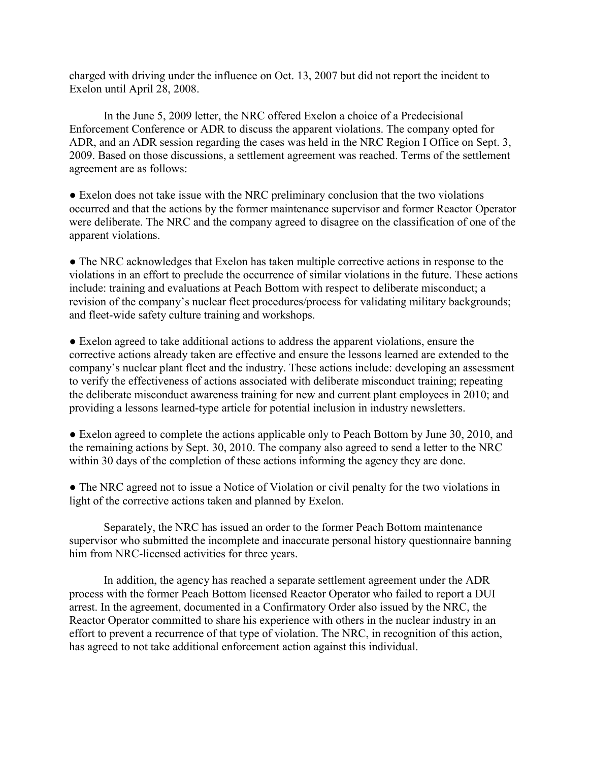charged with driving under the influence on Oct. 13, 2007 but did not report the incident to Exelon until April 28, 2008.

In the June 5, 2009 letter, the NRC offered Exelon a choice of a Predecisional Enforcement Conference or ADR to discuss the apparent violations. The company opted for ADR, and an ADR session regarding the cases was held in the NRC Region I Office on Sept. 3, 2009. Based on those discussions, a settlement agreement was reached. Terms of the settlement agreement are as follows:

• Exelon does not take issue with the NRC preliminary conclusion that the two violations occurred and that the actions by the former maintenance supervisor and former Reactor Operator were deliberate. The NRC and the company agreed to disagree on the classification of one of the apparent violations.

● The NRC acknowledges that Exelon has taken multiple corrective actions in response to the violations in an effort to preclude the occurrence of similar violations in the future. These actions include: training and evaluations at Peach Bottom with respect to deliberate misconduct; a revision of the company's nuclear fleet procedures/process for validating military backgrounds; and fleet-wide safety culture training and workshops.

● Exelon agreed to take additional actions to address the apparent violations, ensure the corrective actions already taken are effective and ensure the lessons learned are extended to the company's nuclear plant fleet and the industry. These actions include: developing an assessment to verify the effectiveness of actions associated with deliberate misconduct training; repeating the deliberate misconduct awareness training for new and current plant employees in 2010; and providing a lessons learned-type article for potential inclusion in industry newsletters.

● Exelon agreed to complete the actions applicable only to Peach Bottom by June 30, 2010, and the remaining actions by Sept. 30, 2010. The company also agreed to send a letter to the NRC within 30 days of the completion of these actions informing the agency they are done.

• The NRC agreed not to issue a Notice of Violation or civil penalty for the two violations in light of the corrective actions taken and planned by Exelon.

 Separately, the NRC has issued an order to the former Peach Bottom maintenance supervisor who submitted the incomplete and inaccurate personal history questionnaire banning him from NRC-licensed activities for three years.

In addition, the agency has reached a separate settlement agreement under the ADR process with the former Peach Bottom licensed Reactor Operator who failed to report a DUI arrest. In the agreement, documented in a Confirmatory Order also issued by the NRC, the Reactor Operator committed to share his experience with others in the nuclear industry in an effort to prevent a recurrence of that type of violation. The NRC, in recognition of this action, has agreed to not take additional enforcement action against this individual.